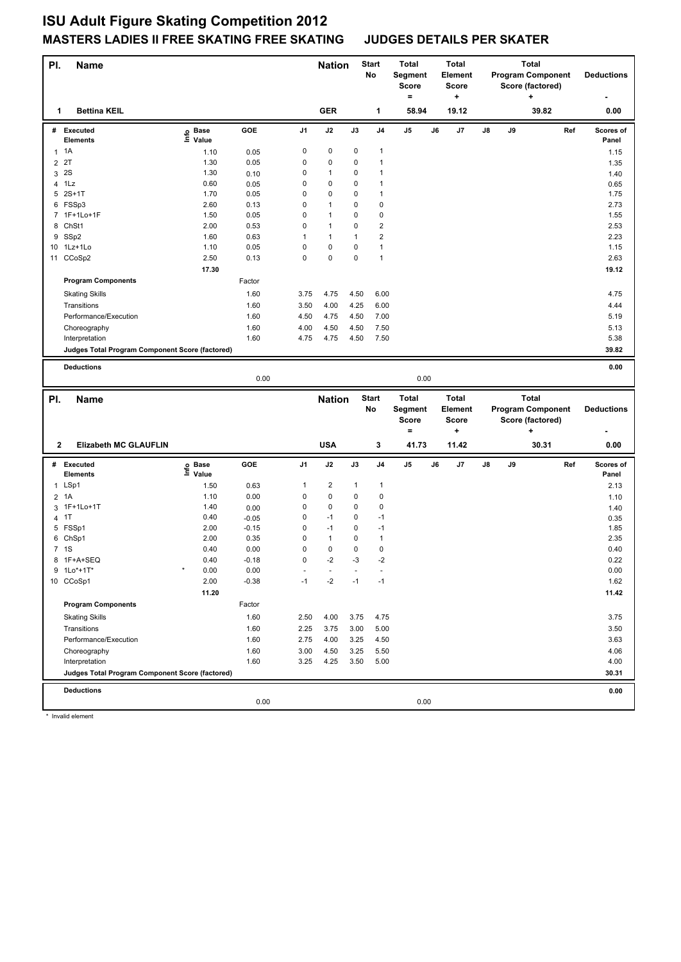## **ISU Adult Figure Skating Competition 2012 MASTERS LADIES II FREE SKATING FREE SKATING JUDGES DETAILS PER SKATER**

| PI.            | <b>Name</b>                                                       |                   |         |                | <b>Nation</b> |      | <b>Start</b><br>No      | Total<br>Segment<br>Score<br>$\equiv$ |    | <b>Total</b><br><b>Element</b><br><b>Score</b><br>÷ | <b>Total</b><br><b>Program Component</b><br>Score (factored)<br>÷ |    |                          | <b>Deductions</b> |                    |
|----------------|-------------------------------------------------------------------|-------------------|---------|----------------|---------------|------|-------------------------|---------------------------------------|----|-----------------------------------------------------|-------------------------------------------------------------------|----|--------------------------|-------------------|--------------------|
| 1              | <b>Bettina KEIL</b>                                               |                   |         |                | <b>GER</b>    |      | 1                       | 58.94                                 |    | 19.12                                               |                                                                   |    | 39.82                    |                   | 0.00               |
| #              | <b>Executed</b><br>Elements                                       | e Base<br>⊑ Value | GOE     | J1             | J2            | J3   | J4                      | $\mathsf{J}5$                         | J6 | J7                                                  | J8                                                                | J9 |                          | Ref               | Scores of<br>Panel |
|                | $1 \t1A$                                                          | 1.10              | 0.05    | 0              | 0             | 0    | 1                       |                                       |    |                                                     |                                                                   |    |                          |                   | 1.15               |
| $\overline{2}$ | 2T                                                                | 1.30              | 0.05    | 0              | 0             | 0    | 1                       |                                       |    |                                                     |                                                                   |    |                          |                   | 1.35               |
| 3              | 2S                                                                | 1.30              | 0.10    | 0              | $\mathbf{1}$  | 0    | 1                       |                                       |    |                                                     |                                                                   |    |                          |                   | 1.40               |
|                | 4 1Lz                                                             | 0.60              | 0.05    | 0              | 0             | 0    | 1                       |                                       |    |                                                     |                                                                   |    |                          |                   | 0.65               |
|                | 5 2S+1T                                                           | 1.70              | 0.05    | 0              | 0             | 0    | 1                       |                                       |    |                                                     |                                                                   |    |                          |                   | 1.75               |
|                | 6 FSSp3                                                           | 2.60              | 0.13    | 0              | 1             | 0    | 0                       |                                       |    |                                                     |                                                                   |    |                          |                   | 2.73               |
|                | 7 1F+1Lo+1F                                                       | 1.50              | 0.05    | 0              | $\mathbf{1}$  | 0    | 0                       |                                       |    |                                                     |                                                                   |    |                          |                   | 1.55               |
|                | 8 ChSt1                                                           | 2.00              | 0.53    | 0              | $\mathbf{1}$  | 0    | $\overline{\mathbf{c}}$ |                                       |    |                                                     |                                                                   |    |                          |                   | 2.53               |
|                | 9 SSp2                                                            | 1.60              | 0.63    | 1              | $\mathbf{1}$  | 1    | $\overline{2}$          |                                       |    |                                                     |                                                                   |    |                          |                   | 2.23               |
|                | 10 1Lz+1Lo                                                        | 1.10              | 0.05    | $\mathsf 0$    | 0             | 0    | $\mathbf{1}$            |                                       |    |                                                     |                                                                   |    |                          |                   | 1.15               |
|                | 11 CCoSp2                                                         | 2.50              | 0.13    | $\mathsf 0$    | 0             | 0    | $\mathbf{1}$            |                                       |    |                                                     |                                                                   |    |                          |                   | 2.63               |
|                |                                                                   | 17.30             |         |                |               |      |                         |                                       |    |                                                     |                                                                   |    |                          |                   | 19.12              |
|                | <b>Program Components</b>                                         |                   | Factor  |                |               |      |                         |                                       |    |                                                     |                                                                   |    |                          |                   |                    |
|                | <b>Skating Skills</b>                                             |                   | 1.60    | 3.75           | 4.75          | 4.50 | 6.00                    |                                       |    |                                                     |                                                                   |    |                          |                   | 4.75               |
|                | Transitions                                                       |                   | 1.60    | 3.50           | 4.00          | 4.25 | 6.00                    |                                       |    |                                                     |                                                                   |    |                          |                   | 4.44               |
|                | Performance/Execution                                             |                   | 1.60    | 4.50           | 4.75          | 4.50 | 7.00                    |                                       |    |                                                     |                                                                   |    |                          |                   | 5.19               |
|                | Choreography                                                      |                   | 1.60    | 4.00           | 4.50          | 4.50 | 7.50                    |                                       |    |                                                     |                                                                   |    |                          |                   | 5.13               |
|                |                                                                   |                   | 1.60    | 4.75           | 4.75          | 4.50 | 7.50                    |                                       |    |                                                     |                                                                   |    |                          |                   | 5.38               |
|                | Interpretation<br>Judges Total Program Component Score (factored) |                   |         |                |               |      |                         |                                       |    |                                                     |                                                                   |    |                          |                   | 39.82              |
|                |                                                                   |                   |         |                |               |      |                         |                                       |    |                                                     |                                                                   |    |                          |                   |                    |
|                | <b>Deductions</b>                                                 |                   |         |                |               |      |                         |                                       |    |                                                     |                                                                   |    |                          |                   | 0.00               |
|                |                                                                   |                   | 0.00    |                |               |      |                         | 0.00                                  |    |                                                     |                                                                   |    |                          |                   |                    |
|                |                                                                   |                   |         |                |               |      |                         |                                       |    |                                                     |                                                                   |    |                          |                   |                    |
|                |                                                                   |                   |         |                | <b>Nation</b> |      | <b>Start</b>            | <b>Total</b>                          |    | <b>Total</b>                                        |                                                                   |    | <b>Total</b>             |                   |                    |
| PI.            | <b>Name</b>                                                       |                   |         |                |               |      | No                      | Segment                               |    | <b>Element</b>                                      |                                                                   |    | <b>Program Component</b> |                   | <b>Deductions</b>  |
|                |                                                                   |                   |         |                |               |      |                         | <b>Score</b>                          |    | <b>Score</b>                                        |                                                                   |    | Score (factored)         |                   |                    |
|                |                                                                   |                   |         |                |               |      |                         | $\equiv$                              |    | ۰.                                                  |                                                                   |    | ٠                        |                   |                    |
| 2              | <b>Elizabeth MC GLAUFLIN</b>                                      |                   |         |                | <b>USA</b>    |      | 3                       | 41.73                                 |    | 11.42                                               |                                                                   |    | 30.31                    |                   | 0.00               |
|                | # Executed                                                        |                   | GOE     | J <sub>1</sub> | J2            | J3   | J4                      | J5                                    | J6 | J7                                                  | J8                                                                | J9 |                          | Ref               | Scores of          |
|                | <b>Elements</b>                                                   | e Base<br>E Value |         |                |               |      |                         |                                       |    |                                                     |                                                                   |    |                          |                   | Panel              |
|                | 1 LSp1                                                            | 1.50              | 0.63    | 1              | 2             | 1    | 1                       |                                       |    |                                                     |                                                                   |    |                          |                   | 2.13               |
|                | 2 1A                                                              | 1.10              | 0.00    | 0              | 0             | 0    | 0                       |                                       |    |                                                     |                                                                   |    |                          |                   | 1.10               |
|                | 3 1F+1Lo+1T                                                       | 1.40              | 0.00    | 0              | 0             | 0    | 0                       |                                       |    |                                                     |                                                                   |    |                          |                   | 1.40               |
|                | 4 1T                                                              | 0.40              | $-0.05$ | 0              | $-1$          | 0    | $-1$                    |                                       |    |                                                     |                                                                   |    |                          |                   | 0.35               |
|                | 5 FSSp1                                                           | 2.00              | $-0.15$ | 0              | $-1$          | 0    | $-1$                    |                                       |    |                                                     |                                                                   |    |                          |                   | 1.85               |
|                | 6 ChSp1                                                           | 2.00              | 0.35    | 0              | $\mathbf{1}$  | 0    | $\mathbf{1}$            |                                       |    |                                                     |                                                                   |    |                          |                   | 2.35               |
|                | 7 1S                                                              | 0.40              | 0.00    | $\mathsf 0$    | 0             | 0    | 0                       |                                       |    |                                                     |                                                                   |    |                          |                   | 0.40               |
|                | 8 1F+A+SEQ                                                        | 0.40              | $-0.18$ | $\mathbf 0$    | $-2$          | $-3$ | $-2$                    |                                       |    |                                                     |                                                                   |    |                          |                   | 0.22               |
|                | 9 1Lo*+1T*                                                        | $\star$<br>0.00   | 0.00    |                |               |      |                         |                                       |    |                                                     |                                                                   |    |                          |                   | 0.00               |
|                | 10 CCoSp1                                                         | 2.00              | $-0.38$ | $-1$           | $-2$          | $-1$ | $-1$                    |                                       |    |                                                     |                                                                   |    |                          |                   | 1.62               |
|                |                                                                   | 11.20             |         |                |               |      |                         |                                       |    |                                                     |                                                                   |    |                          |                   | 11.42              |
|                | <b>Program Components</b>                                         |                   | Factor  |                |               |      |                         |                                       |    |                                                     |                                                                   |    |                          |                   |                    |
|                | <b>Skating Skills</b>                                             |                   | 1.60    | 2.50           | 4.00          | 3.75 | 4.75                    |                                       |    |                                                     |                                                                   |    |                          |                   | 3.75               |
|                | Transitions                                                       |                   | 1.60    | 2.25           | 3.75          | 3.00 | 5.00                    |                                       |    |                                                     |                                                                   |    |                          |                   | 3.50               |
|                | Performance/Execution                                             |                   | 1.60    | 2.75           | 4.00          | 3.25 | 4.50                    |                                       |    |                                                     |                                                                   |    |                          |                   | 3.63               |
|                | Choreography                                                      |                   | 1.60    | 3.00           | 4.50          | 3.25 | 5.50                    |                                       |    |                                                     |                                                                   |    |                          |                   | 4.06               |
|                | Interpretation                                                    |                   | 1.60    | 3.25           | 4.25          | 3.50 | 5.00                    |                                       |    |                                                     |                                                                   |    |                          |                   | 4.00               |
|                | Judges Total Program Component Score (factored)                   |                   |         |                |               |      |                         |                                       |    |                                                     |                                                                   |    |                          |                   | 30.31              |

0.00 0.00

\* Invalid element